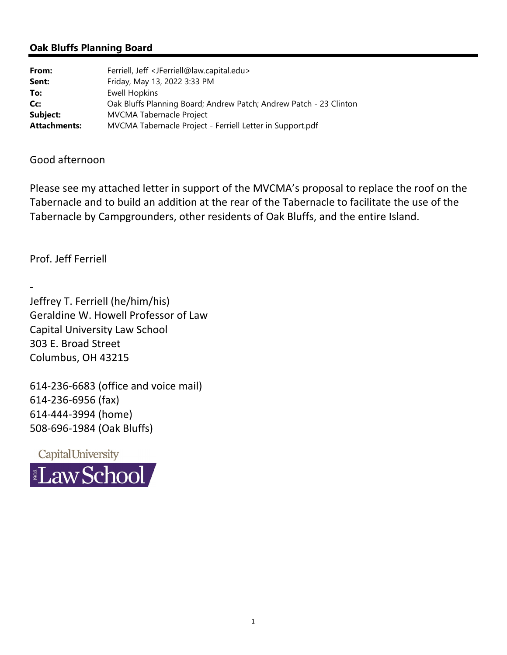## **Oak Bluffs Planning Board**

| From:               | Ferriell, Jeff <jferriell@law.capital.edu></jferriell@law.capital.edu> |
|---------------------|------------------------------------------------------------------------|
| Sent:               | Friday, May 13, 2022 3:33 PM                                           |
| To:                 | <b>Ewell Hopkins</b>                                                   |
| Cc:                 | Oak Bluffs Planning Board; Andrew Patch; Andrew Patch - 23 Clinton     |
| Subject:            | <b>MVCMA Tabernacle Project</b>                                        |
| <b>Attachments:</b> | MVCMA Tabernacle Project - Ferriell Letter in Support.pdf              |

## Good afternoon

Please see my attached letter in support of the MVCMA's proposal to replace the roof on the Tabernacle and to build an addition at the rear of the Tabernacle to facilitate the use of the Tabernacle by Campgrounders, other residents of Oak Bluffs, and the entire Island.

Prof. Jeff Ferriell

‐

Jeffrey T. Ferriell (he/him/his) Geraldine W. Howell Professor of Law Capital University Law School 303 E. Broad Street Columbus, OH 43215

‐236‐6683 (office and voice mail) ‐236‐6956 (fax) ‐444‐3994 (home) ‐696‐1984 (Oak Bluffs)

CapitalUniversity **LawSchool**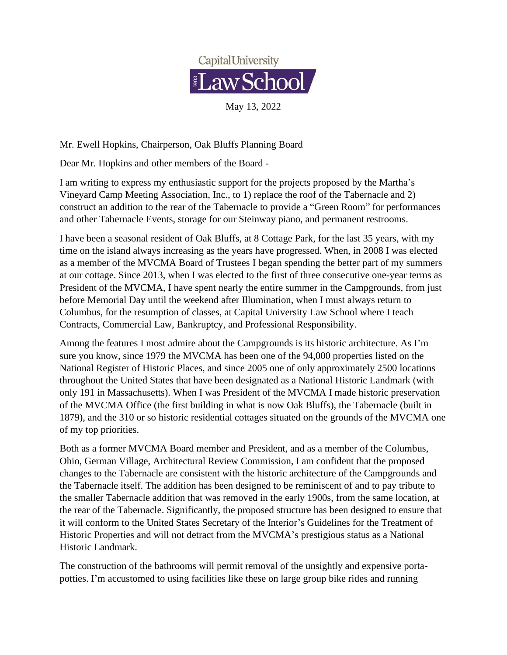

Mr. Ewell Hopkins, Chairperson, Oak Bluffs Planning Board

Dear Mr. Hopkins and other members of the Board -

I am writing to express my enthusiastic support for the projects proposed by the Martha's Vineyard Camp Meeting Association, Inc., to 1) replace the roof of the Tabernacle and 2) construct an addition to the rear of the Tabernacle to provide a "Green Room" for performances and other Tabernacle Events, storage for our Steinway piano, and permanent restrooms.

I have been a seasonal resident of Oak Bluffs, at 8 Cottage Park, for the last 35 years, with my time on the island always increasing as the years have progressed. When, in 2008 I was elected as a member of the MVCMA Board of Trustees I began spending the better part of my summers at our cottage. Since 2013, when I was elected to the first of three consecutive one-year terms as President of the MVCMA, I have spent nearly the entire summer in the Campgrounds, from just before Memorial Day until the weekend after Illumination, when I must always return to Columbus, for the resumption of classes, at Capital University Law School where I teach Contracts, Commercial Law, Bankruptcy, and Professional Responsibility.

Among the features I most admire about the Campgrounds is its historic architecture. As I'm sure you know, since 1979 the MVCMA has been one of the 94,000 properties listed on the National Register of Historic Places, and since 2005 one of only approximately 2500 locations throughout the United States that have been designated as a National Historic Landmark (with only 191 in Massachusetts). When I was President of the MVCMA I made historic preservation of the MVCMA Office (the first building in what is now Oak Bluffs), the Tabernacle (built in 1879), and the 310 or so historic residential cottages situated on the grounds of the MVCMA one of my top priorities.

Both as a former MVCMA Board member and President, and as a member of the Columbus, Ohio, German Village, Architectural Review Commission, I am confident that the proposed changes to the Tabernacle are consistent with the historic architecture of the Campgrounds and the Tabernacle itself. The addition has been designed to be reminiscent of and to pay tribute to the smaller Tabernacle addition that was removed in the early 1900s, from the same location, at the rear of the Tabernacle. Significantly, the proposed structure has been designed to ensure that it will conform to the United States Secretary of the Interior's Guidelines for the Treatment of Historic Properties and will not detract from the MVCMA's prestigious status as a National Historic Landmark.

The construction of the bathrooms will permit removal of the unsightly and expensive portapotties. I'm accustomed to using facilities like these on large group bike rides and running